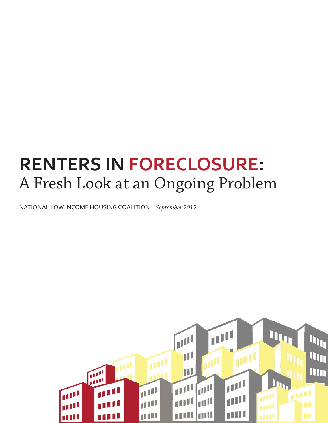# **RENTERS IN FORECLOSURE:** A Fresh Look at an Ongoing Problem

NATIONAL LOW INCOME HOUSING COALITION *| September 2012*

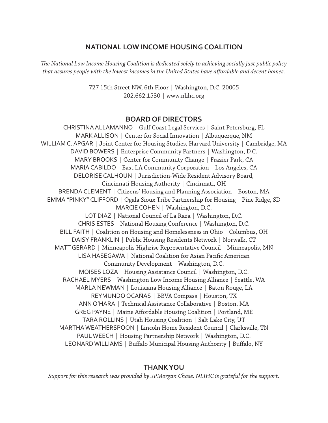### **NATIONAL LOW INCOME HOUSING COALITION**

The National Low Income Housing Coalition is dedicated solely to achieving socially just public policy *that assures people with the lowest incomes in the United States have aff ordable and decent homes.*

> 727 15th Street NW, 6th Floor | Washington, D.C. 20005 202.662.1530 | www.nlihc.org

#### **BOARD OF DIRECTORS**

CHRISTINA ALLAMANNO | Gulf Coast Legal Services | Saint Petersburg, FL MARK ALLISON | Center for Social Innovation | Albuquerque, NM WILLIAM C. APGAR | Joint Center for Housing Studies, Harvard University | Cambridge, MA DAVID BOWERS | Enterprise Community Partners | Washington, D.C. MARY BROOKS | Center for Community Change | Frazier Park, CA MARIA CABILDO | East LA Community Corporation | Los Angeles, CA DELORISE CALHOUN | Jurisdiction-Wide Resident Advisory Board, Cincinnati Housing Authority | Cincinnati, OH BRENDA CLEMENT | Citizens' Housing and Planning Association | Boston, MA EMMA "PINKY" CLIFFORD | Ogala Sioux Tribe Partnership for Housing | Pine Ridge, SD MARCIE COHEN | Washington, D.C. LOT DIAZ | National Council of La Raza | Washington, D.C. CHRIS ESTES | National Housing Conference | Washington, D.C. BILL FAITH | Coalition on Housing and Homelessness in Ohio | Columbus, OH DAISY FRANKLIN | Public Housing Residents Network | Norwalk, CT MATT GERARD | Minneapolis Highrise Representative Council | Minneapolis, MN LISA HASEGAWA | National Coalition for Asian Pacific American Community Development | Washington, D.C. MOISES LOZA | Housing Assistance Council | Washington, D.C. RACHAEL MYERS | Washington Low Income Housing Alliance | Seattle, WA MARLA NEWMAN | Louisiana Housing Alliance | Baton Rouge, LA REYMUNDO OCAÑAS | BBVA Compass | Houston, TX ANN O'HARA | Technical Assistance Collaborative | Boston, MA GREG PAYNE | Maine Affordable Housing Coalition | Portland, ME TARA ROLLINS | Utah Housing Coalition | Salt Lake City, UT MARTHA WEATHERSPOON | Lincoln Home Resident Council | Clarksville, TN PAUL WEECH | Housing Partnership Network | Washington, D.C. LEONARD WILLIAMS | Buffalo Municipal Housing Authority | Buffalo, NY

#### **THANK YOU**

*Support for this research was provided by JPMorgan Chase. NLIHC is grateful for the support.*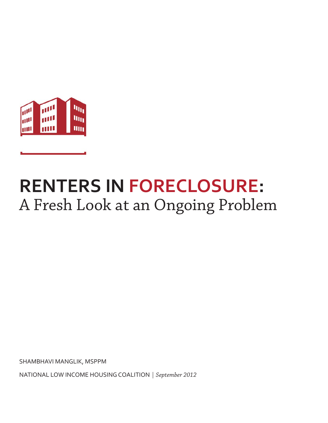

# **RENTERS IN FORECLOSURE:** A Fresh Look at an Ongoing Problem

SHAMBHAVI MANGLIK, MSPPM

NATIONAL LOW INCOME HOUSING COALITION *| September 2012*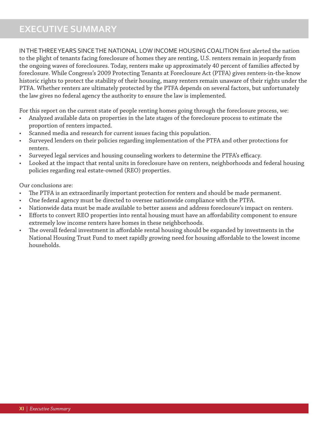# **EXECUTIVE SUMMARY**

IN THE THREE YEARS SINCE THE NATIONAL LOW INCOME HOUSING COALITION first alerted the nation to the plight of tenants facing foreclosure of homes they are renting, U.S. renters remain in jeopardy from the ongoing waves of foreclosures. Today, renters make up approximately 40 percent of families affected by foreclosure. While Congress's 2009 Protecting Tenants at Foreclosure Act (PTFA) gives renters-in-the-know historic rights to protect the stability of their housing, many renters remain unaware of their rights under the PTFA. Whether renters are ultimately protected by the PTFA depends on several factors, but unfortunately the law gives no federal agency the authority to ensure the law is implemented.

For this report on the current state of people renting homes going through the foreclosure process, we:

- Analyzed available data on properties in the late stages of the foreclosure process to estimate the proportion of renters impacted.
- Scanned media and research for current issues facing this population.
- Surveyed lenders on their policies regarding implementation of the PTFA and other protections for renters.
- Surveyed legal services and housing counseling workers to determine the PTFA's efficacy.
- Looked at the impact that rental units in foreclosure have on renters, neighborhoods and federal housing policies regarding real estate-owned (REO) properties.

Our conclusions are:

- The PTFA is an extraordinarily important protection for renters and should be made permanent.
- One federal agency must be directed to oversee nationwide compliance with the PTFA.
- Nationwide data must be made available to better assess and address foreclosure's impact on renters.
- Efforts to convert REO properties into rental housing must have an affordability component to ensure extremely low income renters have homes in these neighborhoods.
- The overall federal investment in affordable rental housing should be expanded by investments in the National Housing Trust Fund to meet rapidly growing need for housing affordable to the lowest income households.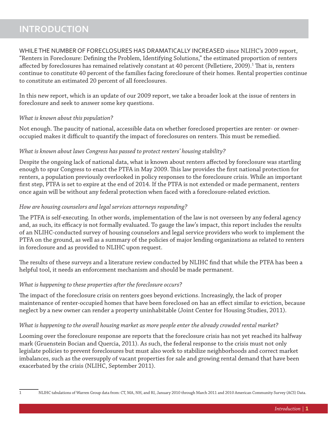# **INTRODUCTION**

WHILE THE NUMBER OF FORECLOSURES HAS DRAMATICALLY INCREASED since NLIHC's 2009 report, "Renters in Foreclosure: Defining the Problem, Identifying Solutions," the estimated proportion of renters affected by foreclosures has remained relatively constant at 40 percent (Pelletiere, 2009).<sup>1</sup> That is, renters continue to constitute 40 percent of the families facing foreclosure of their homes. Rental properties continue to constitute an estimated 20 percent of all foreclosures.

In this new report, which is an update of our 2009 report, we take a broader look at the issue of renters in foreclosure and seek to answer some key questions.

#### *What is known about this population?*

Not enough. The paucity of national, accessible data on whether foreclosed properties are renter- or owneroccupied makes it difficult to quantify the impact of foreclosures on renters. This must be remedied.

#### *What is known about laws Congress has passed to protect renters' housing stability?*

Despite the ongoing lack of national data, what is known about renters affected by foreclosure was startling enough to spur Congress to enact the PTFA in May 2009. This law provides the first national protection for renters, a population previously overlooked in policy responses to the foreclosure crisis. While an important first step, PTFA is set to expire at the end of 2014. If the PTFA is not extended or made permanent, renters once again will be without any federal protection when faced with a foreclosure-related eviction.

#### *How are housing counselors and legal services attorneys responding?*

The PTFA is self-executing. In other words, implementation of the law is not overseen by any federal agency and, as such, its efficacy is not formally evaluated. To gauge the law's impact, this report includes the results of an NLIHC-conducted survey of housing counselors and legal service providers who work to implement the PTFA on the ground, as well as a summary of the policies of major lending organizations as related to renters in foreclosure and as provided to NLIHC upon request.

The results of these surveys and a literature review conducted by NLIHC find that while the PTFA has been a helpful tool, it needs an enforcement mechanism and should be made permanent.

#### *What is happening to these properties after the foreclosure occurs?*

The impact of the foreclosure crisis on renters goes beyond evictions. Increasingly, the lack of proper maintenance of renter-occupied homes that have been foreclosed on has an effect similar to eviction, because neglect by a new owner can render a property uninhabitable (Joint Center for Housing Studies, 2011).

#### *What is happening to the overall housing market as more people enter the already crowded rental market?*

Looming over the foreclosure response are reports that the foreclosure crisis has not yet reached its halfway mark (Gruenstein Bocian and Quercia, 2011). As such, the federal response to the crisis must not only legislate policies to prevent foreclosures but must also work to stabilize neighborhoods and correct market imbalances, such as the oversupply of vacant properties for sale and growing rental demand that have been exacerbated by the crisis (NLIHC, September 2011).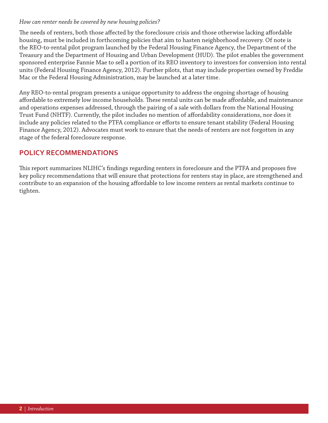#### *How can renter needs be covered by new housing policies?*

The needs of renters, both those affected by the foreclosure crisis and those otherwise lacking affordable housing, must be included in forthcoming policies that aim to hasten neighborhood recovery. Of note is the REO-to-rental pilot program launched by the Federal Housing Finance Agency, the Department of the Treasury and the Department of Housing and Urban Development (HUD). The pilot enables the government sponsored enterprise Fannie Mae to sell a portion of its REO inventory to investors for conversion into rental units (Federal Housing Finance Agency, 2012). Further pilots, that may include properties owned by Freddie Mac or the Federal Housing Administration, may be launched at a later time.

Any REO-to-rental program presents a unique opportunity to address the ongoing shortage of housing affordable to extremely low income households. These rental units can be made affordable, and maintenance and operations expenses addressed, through the pairing of a sale with dollars from the National Housing Trust Fund (NHTF). Currently, the pilot includes no mention of affordability considerations, nor does it include any policies related to the PTFA compliance or efforts to ensure tenant stability (Federal Housing Finance Agency, 2012). Advocates must work to ensure that the needs of renters are not forgotten in any stage of the federal foreclosure response.

## **POLICY RECOMMENDATIONS**

This report summarizes NLIHC's findings regarding renters in foreclosure and the PTFA and proposes five key policy recommendations that will ensure that protections for renters stay in place, are strengthened and contribute to an expansion of the housing affordable to low income renters as rental markets continue to tighten.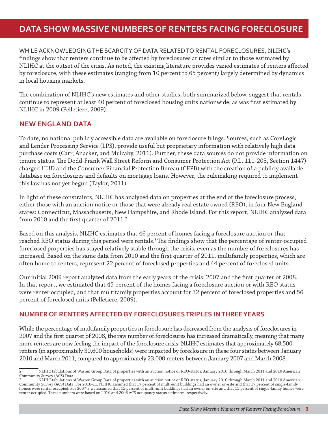# **DATA SHOW MASSIVE NUMBERS OF RENTERS FACING FORECLOSURE**

WHILE ACKNOWLEDGING THE SCARCITY OF DATA RELATED TO RENTAL FORECLOSURES, NLIHC's findings show that renters continue to be affected by foreclosures at rates similar to those estimated by NLIHC at the outset of the crisis. As noted, the existing literature provides varied estimates of renters affected by foreclosure, with these estimates (ranging from 10 percent to 65 percent) largely determined by dynamics in local housing markets.

The combination of NLIHC's new estimates and other studies, both summarized below, suggest that rentals continue to represent at least 40 percent of foreclosed housing units nationwide, as was first estimated by NLIHC in 2009 (Pelletiere, 2009).

## **NEW ENGLAND DATA**

To date, no national publicly accessible data are available on foreclosure filings. Sources, such as CoreLogic and Lender Processing Service (LPS), provide useful but proprietary information with relatively high data purchase costs (Carr, Anacker, and Mulcahy, 2011). Further, these data sources do not provide information on tenure status. The Dodd-Frank Wall Street Reform and Consumer Protection Act (P.L. 111-203, Section 1447) charged HUD and the Consumer Financial Protection Bureau (CFPB) with the creation of a publicly available database on foreclosures and defaults on mortgage loans. However, the rulemaking required to implement this law has not yet begun (Taylor, 2011).

In light of these constraints, NLIHC has analyzed data on properties at the end of the foreclosure process, either those with an auction notice or those that were already real estate owned (REO), in four New England states: Connecticut, Massachusetts, New Hampshire, and Rhode Island. For this report, NLIHC analyzed data from 2010 and the first quarter of  $2011.^2$ 

Based on this analysis, NLIHC estimates that 46 percent of homes facing a foreclosure auction or that reached REO status during this period were rentals.<sup>3</sup> The findings show that the percentage of renter-occupied foreclosed properties has stayed relatively stable through the crisis, even as the number of foreclosures has increased. Based on the same data from 2010 and the first quarter of 2011, multifamily properties, which are often home to renters, represent 22 percent of foreclosed properties and 44 percent of foreclosed units.

Our initial 2009 report analyzed data from the early years of the crisis: 2007 and the first quarter of 2008. In that report, we estimated that 45 percent of the homes facing a foreclosure auction or with REO status were renter occupied, and that multifamily properties account for 32 percent of foreclosed properties and 56 percent of foreclosed units (Pelletiere, 2009).

## **NUMBER OF RENTERS AFFECTED BY FORECLOSURES TRIPLES IN THREE YEARS**

While the percentage of multifamily properties in foreclosure has decreased from the analysis of foreclosures in 2007 and the first quarter of 2008, the raw number of foreclosures has increased dramatically, meaning that many more renters are now feeling the impact of the foreclosure crisis. NLIHC estimates that approximately 68,500 renters (in approximately 30,600 households) were impacted by foreclosure in these four states between January 2010 and March 2011, compared to approximately 23,000 renters between January 2007 and March 2008.

<sup>2</sup> NLIHC tabulations of Warren Group Data of properties with an auction notice or REO-status, January 2010 through March 2011 and 2010 American Community Survey (ACS) Data.

<sup>3</sup> NLIHC tabulations of Warren Group Data of properties with an auction notice or REO-status, January 2010 through March 2011 and 2010 American Community Survey (ACS) Data. For 2010-11, NLIHC assumed that 17 percent of multi-unit buildings had an owner on-site and that 17 percent of single-family<br>homes were renter occupied. For 2007-8 we assumed that 15 percent of renter occupied. These numbers were based on 2010 and 2006 ACS occupancy status estimates, respectively.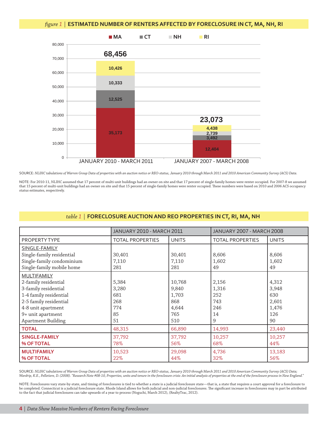#### figure 1 | **ESTIMATED NUMBER OF RENTERS AFFECTED BY FORECLOSURE IN CT, MA, NH, RI**



SOURCE: *NLIHC tabulations of Warren Group Data of properties with an auction notice or REO-status, January 2010 through March 2011 and 2010 American Community Survey (ACS) Data.*

NOTE: For 2010-11, NLIHC assumed that 17 percent of multi-unit buildings had an owner on site and that 17 percent of single-family homes were renter occupied. For 2007-8 we assumed that 15 percent of multi-unit buildings had an owner on site and that 15 percent of single-family homes were renter occupied. These numbers were based on 2010 and 2006 ACS occupancy status estimates, respectively.

# *table 1* | **FORECLOSURE AUCTION AND REO PROPERTIES IN CT, RI, MA, NH**

|                           | <b>JANUARY 2010 - MARCH 2011</b> |              | <b>JANUARY 2007 - MARCH 2008</b> |              |
|---------------------------|----------------------------------|--------------|----------------------------------|--------------|
| PROPERTY TYPE             | <b>TOTAL PROPERTIES</b>          | <b>UNITS</b> | <b>TOTAL PROPERTIES</b>          | <b>UNITS</b> |
| SINGLE-FAMILY             |                                  |              |                                  |              |
| Single-family residential | 30,401                           | 30,401       | 8,606                            | 8,606        |
| Single-family condominium | 7,110                            | 7,110        | 1,602                            | 1,602        |
| Single-family mobile home | 281                              | 281          | 49                               | 49           |
| <b>MULTIFAMILY</b>        |                                  |              |                                  |              |
| 2-family residential      | 5,384                            | 10,768       | 2,156                            | 4,312        |
| 3-family residential      | 3,280                            | 9,840        | 1,316                            | 3,948        |
| 1-4 family residential    | 681                              | 1,703        | 252                              | 630          |
| 2-5 family residential    | 268                              | 868          | 743                              | 2,601        |
| 4-8 unit apartment        | 774                              | 4,644        | 246                              | 1,476        |
| 9+ unit apartment         | 85                               | 765          | 14                               | 126          |
| <b>Apartment Building</b> | 51                               | 510          | 9                                | 90           |
| <b>TOTAL</b>              | 48,315                           | 66,890       | 14,993                           | 23,440       |
| <b>SINGLE-FAMILY</b>      | 37,792                           | 37,792       | 10,257                           | 10,257       |
| <b>% OF TOTAL</b>         | 78%                              | 56%          | 68%                              | 44%          |
| <b>MULTIFAMILY</b>        | 10,523                           | 29,098       | 4,736                            | 13,183       |
| <b>% OF TOTAL</b>         | 22%                              | 44%          | 32%                              | 56%          |

SOURCE: *NLIHC tabulations of Warren Group Data of properties with an auction notice or REO-status, January 2010 through March 2011 and 2010 American Community Survey (ACS) Data; Wardrip, K.E., Pelletiere, D. (2008). "Research Note #08-10, Properties, units and tenure in the foreclosure crisis: An initial analysis of properties at the end of the foreclosure process in New England."*

NOTE: Foreclosures vary state-by-state, and timing of foreclosures is tied to whether a state is a judicial foreclosure state—that is, a state that requires a court approval for a foreclosure to be completed. Connecticut is a judicial foreclosure state. Rhode Island allows for both judicial and non-judicial foreclosures. Th e signifi cant increase in foreclosures may in part be attributed to the fact that judicial foreclosures can take upwards of a year to process (Noguchi, March 2012), (RealtyTrac, 2012).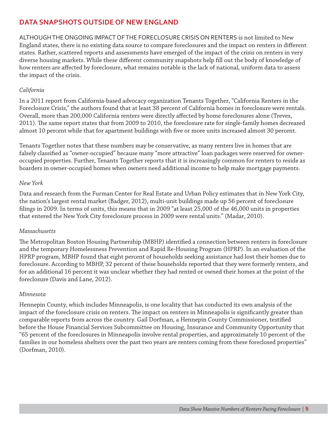## **DATA SNAPSHOTS OUTSIDE OF NEW ENGLAND**

ALTHOUGH THE ONGOING IMPACT OF THE FORECLOSURE CRISIS ON RENTERS is not limited to New England states, there is no existing data source to compare foreclosures and the impact on renters in different states. Rather, scattered reports and assessments have emerged of the impact of the crisis on renters in very diverse housing markets. While these different community snapshots help fill out the body of knowledge of how renters are affected by foreclosure, what remains notable is the lack of national, uniform data to assess the impact of the crisis.

#### *California*

In a 2011 report from California-based advocacy organization Tenants Together, "California Renters in the Foreclosure Crisis," the authors found that at least 38 percent of California homes in foreclosure were rentals. Overall, more than 200,000 California renters were directly affected by home foreclosures alone (Treves, 2011). The same report states that from 2009 to 2010, the foreclosure rate for single-family homes decreased almost 10 percent while that for apartment buildings with five or more units increased almost 30 percent.

Tenants Together notes that these numbers may be conservative, as many renters live in homes that are falsely classified as "owner-occupied" because many "more attractive" loan packages were reserved for owneroccupied properties. Further, Tenants Together reports that it is increasingly common for renters to reside as boarders in owner-occupied homes when owners need additional income to help make mortgage payments.

#### *New York*

Data and research from the Furman Center for Real Estate and Urban Policy estimates that in New York City, the nation's largest rental market (Badger, 2012), multi-unit buildings made up 56 percent of foreclosure filings in 2009. In terms of units, this means that in 2009 "at least 25,000 of the 46,000 units in properties that entered the New York City foreclosure process in 2009 were rental units." (Madar, 2010).

#### *Massachusetts*

The Metropolitan Boston Housing Partnership (MBHP) identified a connection between renters in foreclosure and the temporary Homelessness Prevention and Rapid Re-Housing Program (HPRP). In an evaluation of the HPRP program, MBHP found that eight percent of households seeking assistance had lost their homes due to foreclosure. According to MBHP, 32 percent of these households reported that they were formerly renters, and for an additional 16 percent it was unclear whether they had rented or owned their homes at the point of the foreclosure (Davis and Lane, 2012).

#### *Minnesota*

Hennepin County, which includes Minneapolis, is one locality that has conducted its own analysis of the impact of the foreclosure crisis on renters. The impact on renters in Minneapolis is significantly greater than comparable reports from across the country. Gail Dorfman, a Hennepin County Commissioner, testified before the House Financial Services Subcommittee on Housing, Insurance and Community Opportunity that "65 percent of the foreclosures in Minneapolis involve rental properties, and approximately 10 percent of the families in our homeless shelters over the past two years are renters coming from these foreclosed properties" (Dorfman, 2010).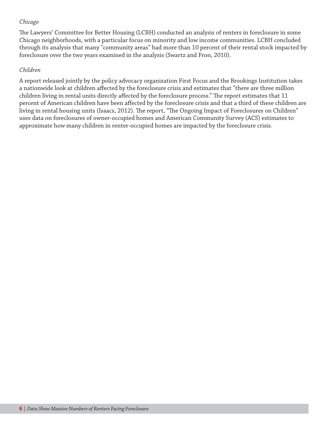## *Chicago*

The Lawyers' Committee for Better Housing (LCBH) conducted an analysis of renters in foreclosure in some Chicago neighborhoods, with a particular focus on minority and low income communities. LCBH concluded through its analysis that many "community areas" had more than 10 percent of their rental stock impacted by foreclosure over the two years examined in the analysis (Swartz and Fron, 2010).

#### *Children*

A report released jointly by the policy advocacy organization First Focus and the Brookings Institution takes a nationwide look at children affected by the foreclosure crisis and estimates that "there are three million children living in rental units directly affected by the foreclosure process." The report estimates that 11 percent of American children have been affected by the foreclosure crisis and that a third of these children are living in rental housing units (Isaacs, 2012). The report, "The Ongoing Impact of Foreclosures on Children" uses data on foreclosures of owner-occupied homes and American Community Survey (ACS) estimates to approximate how many children in renter-occupied homes are impacted by the foreclosure crisis.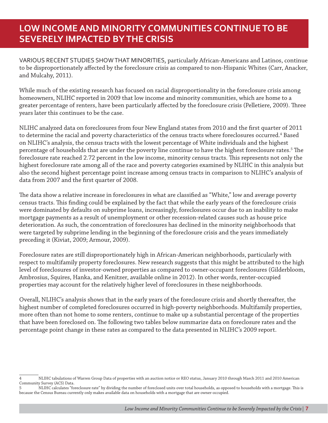# **LOW INCOME AND MINORITY COMMUNITIES CONTINUE TO BE SEVERELY IMPACTED BY THE CRISIS**

VARIOUS RECENT STUDIES SHOW THAT MINORITIES, particularly African-Americans and Latinos, continue to be disproportionately affected by the foreclosure crisis as compared to non-Hispanic Whites (Carr, Anacker, and Mulcahy, 2011).

While much of the existing research has focused on racial disproportionality in the foreclosure crisis among homeowners, NLIHC reported in 2009 that low income and minority communities, which are home to a greater percentage of renters, have been particularly affected by the foreclosure crisis (Pelletiere, 2009). Three years later this continues to be the case.

NLIHC analyzed data on foreclosures from four New England states from 2010 and the first quarter of 2011 to determine the racial and poverty characteristics of the census tracts where foreclosures occurred. $^{\text{4}}$  Based on NLIHC's analysis, the census tracts with the lowest percentage of White individuals and the highest percentage of households that are under the poverty line continue to have the highest foreclosure rates.<sup>5</sup> The foreclosure rate reached 2.72 percent in the low income, minority census tracts. This represents not only the highest foreclosure rate among all of the race and poverty categories examined by NLIHC in this analysis but also the second highest percentage point increase among census tracts in comparison to NLIHC's analysis of data from 2007 and the first quarter of 2008.

The data show a relative increase in foreclosures in what are classified as "White," low and average poverty census tracts. This finding could be explained by the fact that while the early years of the foreclosure crisis were dominated by defaults on subprime loans, increasingly, foreclosures occur due to an inability to make mortgage payments as a result of unemployment or other recession-related causes such as house price deterioration. As such, the concentration of foreclosures has declined in the minority neighborhoods that were targeted by subprime lending in the beginning of the foreclosure crisis and the years immediately preceding it (Kiviat, 2009; Armour, 2009).

Foreclosure rates are still disproportionately high in African-American neighborhoods, particularly with respect to multifamily property foreclosures. New research suggests that this might be attributed to the high level of foreclosures of investor-owned properties as compared to owner-occupant foreclosures (Gilderbloom, Ambrosius, Squires, Hanka, and Kenitzer, available online in 2012). In other words, renter-occupied properties may account for the relatively higher level of foreclosures in these neighborhoods.

Overall, NLIHC's analysis shows that in the early years of the foreclosure crisis and shortly thereafter, the highest number of completed foreclosures occurred in high-poverty neighborhoods. Multifamily properties, more often than not home to some renters, continue to make up a substantial percentage of the properties that have been foreclosed on. The following two tables below summarize data on foreclosure rates and the percentage point change in these rates as compared to the data presented in NLIHC's 2009 report.

<sup>4</sup> NLIHC tabulations of Warren Group Data of properties with an auction notice or REO status, January 2010 through March 2011 and 2010 American Community Survey (ACS) Data.<br>5 NLIHC calculates "fo

NLIHC calculates "foreclosure rate" by dividing the number of foreclosed units over total households, as opposed to households with a mortgage. This is because the Census Bureau currently only makes available data on households with a mortgage that are owner-occupied.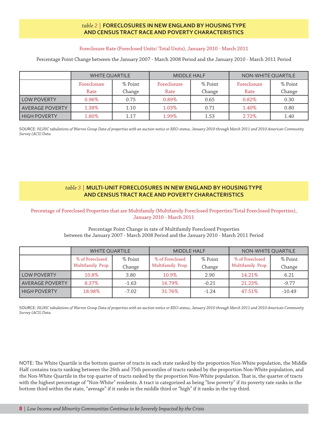#### *table 2 |* **FORECLOSURES IN NEW ENGLAND BY HOUSING TYPE AND CENSUS TRACT RACE AND POVERTY CHARACTERISTICS**

#### Foreclosure Rate (Foreclosed Units/ Total Units), January 2010 - March 2011

Percentage Point Change between the January 2007 - March 2008 Period and the January 2010 - March 2011 Period

|                    | <b>WHITE QUARTILE</b> |         | <b>MIDDLE HALF</b> |         | NON-WHITE QUARTILE |         |
|--------------------|-----------------------|---------|--------------------|---------|--------------------|---------|
|                    | Foreclosure           | % Point | Foreclosure        | % Point | Foreclosure        | % Point |
|                    | Rate                  | Change  | Rate               | Change  | Rate               | Change  |
| <b>LOW POVERTY</b> | $0.96\%$              | 0.75    | $0.89\%$           | 0.65    | $0.82\%$           | 0.30    |
| AVERAGE POVERTY    | 1.38%                 | 1.10    | 1.03%              | 0.71    | 1.40%              | 0.80    |
| HIGH POVERTY       | 1.80%                 | 1.17    | 1.99%              | 1.53    | $2.72\%$           | 1.40    |

SOURCE: *NLIHC tabulations of Warren Group Data of properties with an auction notice or REO-status, January 2010 through March 2011 and 2010 American Community Survey (ACS) Data.*

#### *table 3* | **MULTI-UNIT FORECLOSURES IN NEW ENGLAND BY HOUSING TYPE AND CENSUS TRACT RACE AND POVERTY CHARACTERISTICS**

Percentage of Foreclosed Properties that are Multifamily (Multifamily Foreclosed Properties/Total Foreclosed Properties), January 2010 - March 2011

#### Percentage Point Change in rate of Multifamily Foreclosed Properties between the January 2007 - March 2008 Period and the January 2010 - March 2011 Period

|                     | <b>WHITE QUARTILE</b>                |                   | <b>MIDDLE HALF</b>                   |                   | NON-WHITE QUARTILE                   |                   |
|---------------------|--------------------------------------|-------------------|--------------------------------------|-------------------|--------------------------------------|-------------------|
|                     | % of Foreclosed<br>Multifamily Prop. | % Point<br>Change | % of Foreclosed<br>Multifamily Prop. | % Point<br>Change | % of Foreclosed<br>Multifamily Prop. | % Point<br>Change |
| <b>LOW POVERTY</b>  | 10.8%                                | 3.80              | 10.9%                                | 2.90              | 14.21%                               | 6.21              |
| AVERAGE POVERTY     | 8.37%                                | $-1.63$           | 16.79%                               | $-0.21$           | 21.23%                               | $-9.77$           |
| <b>HIGH POVERTY</b> | 18.98%                               | $-7.02$           | 31.76%                               | $-1.24$           | 47.51%                               | $-10.49$          |

SOURCE: *NLIHC tabulations of Warren Group Data of properties with an auction notice or REO-status, January 2010 through March 2011 and 2010 American Community Survey (ACS) Data.*

NOTE: The White Quartile is the bottom quarter of tracts in each state ranked by the proportion Non-White population, the Middle Half contains tracts ranking between the 26th and 75th percentiles of tracts ranked by the proportion Non-White population, and the Non-White Quartile in the top quarter of tracts ranked by the proportion Non-White population. That is, the quarter of tracts with the highest percentage of "Non-White" residents. A tract is categorized as being "low poverty" if its poverty rate ranks in the bottom third within the state, "average" if it ranks in the middle third or "high" if it ranks in the top third.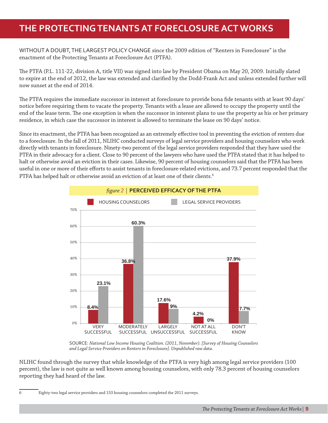# **THE PROTECTING TENANTS AT FORECLOSURE ACT WORKS**

WITHOUT A DOUBT, THE LARGEST POLICY CHANGE since the 2009 edition of "Renters in Foreclosure" is the enactment of the Protecting Tenants at Foreclosure Act (PTFA).

The PTFA (P.L. 111-22, division A, title VII) was signed into law by President Obama on May 20, 2009. Initially slated to expire at the end of 2012, the law was extended and clarified by the Dodd-Frank Act and unless extended further will now sunset at the end of 2014.

The PTFA requires the immediate successor in interest at foreclosure to provide bona fide tenants with at least 90 days' notice before requiring them to vacate the property. Tenants with a lease are allowed to occupy the property until the end of the lease term. The one exception is when the successor in interest plans to use the property as his or her primary residence, in which case the successor in interest is allowed to terminate the lease on 90 days' notice.

Since its enactment, the PTFA has been recognized as an extremely effective tool in preventing the eviction of renters due to a foreclosure. In the fall of 2011, NLIHC conducted surveys of legal service providers and housing counselors who work directly with tenants in foreclosure. Ninety-two percent of the legal service providers responded that they have used the PTFA in their advocacy for a client. Close to 90 percent of the lawyers who have used the PTFA stated that it has helped to halt or otherwise avoid an eviction in their cases. Likewise, 90 percent of housing counselors said that the PTFA has been useful in one or more of their efforts to assist tenants in foreclosure-related evictions, and 73.7 percent responded that the PTFA has helped halt or otherwise avoid an eviction of at least one of their clients.<sup>6</sup>



SOURCE: *National Low Income Housing Coalition. (2011, November). [Survey of Housing Counselors and Legal Service Providers on Renters in Foreclosure]. Unpublished raw data.*

NLIHC found through the survey that while knowledge of the PTFA is very high among legal service providers (100 percent), the law is not quite as well known among housing counselors, with only 78.3 percent of housing counselors reporting they had heard of the law.

<sup>6</sup> Eighty-two legal service providers and 153 housing counselors completed the 2011 surveys.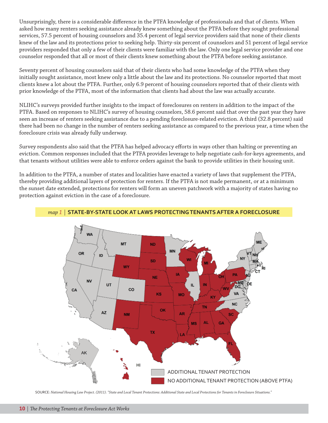Unsurprisingly, there is a considerable difference in the PTFA knowledge of professionals and that of clients. When asked how many renters seeking assistance already knew something about the PTFA before they sought professional services, 57.5 percent of housing counselors and 35.4 percent of legal service providers said that none of their clients knew of the law and its protections prior to seeking help. Thirty-six percent of counselors and 51 percent of legal service providers responded that only a few of their clients were familiar with the law. Only one legal service provider and one counselor responded that all or most of their clients knew something about the PTFA before seeking assistance.

Seventy percent of housing counselors said that of their clients who had some knowledge of the PTFA when they initially sought assistance, most knew only a little about the law and its protections. No counselor reported that most clients knew a lot about the PTFA. Further, only 6.9 percent of housing counselors reported that of their clients with prior knowledge of the PTFA, most of the information that clients had about the law was actually accurate.

NLIHC's surveys provided further insights to the impact of foreclosures on renters in addition to the impact of the PTFA. Based on responses to NLIHC's survey of housing counselors, 58.6 percent said that over the past year they have seen an increase of renters seeking assistance due to a pending foreclosure-related eviction. A third (32.8 percent) said there had been no change in the number of renters seeking assistance as compared to the previous year, a time when the foreclosure crisis was already fully underway.

Survey respondents also said that the PTFA has helped advocacy efforts in ways other than halting or preventing an eviction. Common responses included that the PTFA provides leverage to help negotiate cash-for-keys agreements, and that tenants without utilities were able to enforce orders against the bank to provide utilities in their housing unit.

In addition to the PTFA, a number of states and localities have enacted a variety of laws that supplement the PTFA, thereby providing additional layers of protection for renters. If the PTFA is not made permanent, or at a minimum the sunset date extended, protections for renters will form an uneven patchwork with a majority of states having no protection against eviction in the case of a foreclosure.



#### *map 1* | **STATE-BY-STATE LOOK AT LAWS PROTECTING TENANTS AFTER A FORECLOSURE**

SOURCE: *National Housing Law Project. (2011). "State and Local Tenant Protections: Additional State and Local Protections for Tenants in Foreclosure Situations."*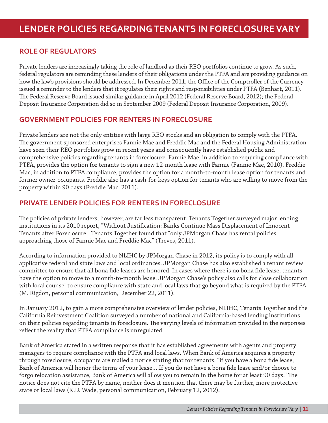## **ROLE OF REGULATORS**

Private lenders are increasingly taking the role of landlord as their REO portfolios continue to grow. As such, federal regulators are reminding these lenders of their obligations under the PTFA and are providing guidance on how the law's provisions should be addressed. In December 2011, the Office of the Comptroller of the Currency issued a reminder to the lenders that it regulates their rights and responsibilities under PTFA (Benhart, 2011). The Federal Reserve Board issued similar guidance in April 2012 (Federal Reserve Board, 2012); the Federal Deposit Insurance Corporation did so in September 2009 (Federal Deposit Insurance Corporation, 2009).

## **GOVERNMENT POLICIES FOR RENTERS IN FORECLOSURE**

Private lenders are not the only entities with large REO stocks and an obligation to comply with the PTFA. The government sponsored enterprises Fannie Mae and Freddie Mac and the Federal Housing Administration have seen their REO portfolios grow in recent years and consequently have established public and comprehensive policies regarding tenants in foreclosure. Fannie Mae, in addition to requiring compliance with PTFA, provides the option for tenants to sign a new 12-month lease with Fannie (Fannie Mae, 2010). Freddie Mac, in addition to PTFA compliance, provides the option for a month-to-month lease option for tenants and former owner-occupants. Freddie also has a cash-for-keys option for tenants who are willing to move from the property within 90 days (Freddie Mac, 2011).

## **PRIVATE LENDER POLICIES FOR RENTERS IN FORECLOSURE**

The policies of private lenders, however, are far less transparent. Tenants Together surveyed major lending institutions in its 2010 report, "Without Justification: Banks Continue Mass Displacement of Innocent Tenants after Foreclosure." Tenants Together found that "only JPMorgan Chase has rental policies approaching those of Fannie Mae and Freddie Mac" (Treves, 2011).

According to information provided to NLIHC by JPMorgan Chase in 2012, its policy is to comply with all applicative federal and state laws and local ordinances. JPMorgan Chase has also established a tenant review committee to ensure that all bona fide leases are honored. In cases where there is no bona fide lease, tenants have the option to move to a month-to-month lease. JPMorgan Chase's policy also calls for close collaboration with local counsel to ensure compliance with state and local laws that go beyond what is required by the PTFA (M. Rigdon, personal communication, December 22, 2011).

In January 2012, to gain a more comprehensive overview of lender policies, NLIHC, Tenants Together and the California Reinvestment Coalition surveyed a number of national and California-based lending institutions on their policies regarding tenants in foreclosure. The varying levels of information provided in the responses reflect the reality that PTFA compliance is unregulated.

Bank of America stated in a written response that it has established agreements with agents and property managers to require compliance with the PTFA and local laws. When Bank of America acquires a property through foreclosure, occupants are mailed a notice stating that for tenants, "if you have a bona fide lease, Bank of America will honor the terms of your lease....If you do not have a bona fide lease and/or choose to forgo relocation assistance, Bank of America will allow you to remain in the home for at least 90 days." The notice does not cite the PTFA by name, neither does it mention that there may be further, more protective state or local laws (K.D. Wade, personal communication, February 12, 2012).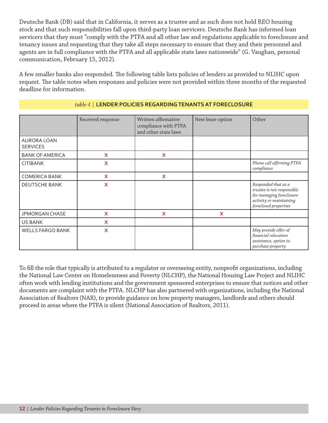Deutsche Bank (DB) said that in California, it serves as a trustee and as such does not hold REO housing stock and that such responsibilities fall upon third-party loan servicers. Deutsche Bank has informed loan servicers that they must "comply with the PTFA and all other law and regulations applicable to foreclosure and tenancy issues and requesting that they take all steps necessary to ensure that they and their personnel and agents are in full compliance with the PTFA and all applicable state laws nationwide" (G. Vaughan, personal communication, February 15, 2012).

A few smaller banks also responded. The following table lists policies of lenders as provided to NLIHC upon request. The table notes when responses and policies were not provided within three months of the requested deadline for information.

|                                       | Received response | Written affirmative<br>compliance with PTFA<br>and other state laws | New lease option | Other                                                                                                                             |
|---------------------------------------|-------------------|---------------------------------------------------------------------|------------------|-----------------------------------------------------------------------------------------------------------------------------------|
| <b>AURORA LOAN</b><br><b>SERVICES</b> |                   |                                                                     |                  |                                                                                                                                   |
| <b>BANK OF AMERICA</b>                | X                 | X                                                                   |                  |                                                                                                                                   |
| <b>CITIBANK</b>                       | X                 |                                                                     |                  | Phone call affirming PTFA<br>compliance                                                                                           |
| <b>COMERICA BANK</b>                  | X                 | X                                                                   |                  |                                                                                                                                   |
| DEUTSCHE BANK                         | X                 |                                                                     |                  | Responded that as a<br>trustee is not responsible<br>for managing foreclosure<br>activity or maintaining<br>foreclosed properties |
| JPMORGAN CHASE                        | X                 | X                                                                   | X                |                                                                                                                                   |
| <b>US BANK</b>                        | X                 |                                                                     |                  |                                                                                                                                   |
| <b>WELLS FARGO BANK</b>               | X                 |                                                                     |                  | May provide offer of<br>financial relocation<br>assistance, option to<br>purchase property                                        |

#### *table 4* | **LENDER POLICIES REGARDING TENANTS AT FORECLOSURE**

To fill the role that typically is attributed to a regulator or overseeing entity, nonprofit organizations, including the National Law Center on Homelessness and Poverty (NLCHP), the National Housing Law Project and NLIHC often work with lending institutions and the government sponsored enterprises to ensure that notices and other documents are complaint with the PTFA. NLCHP has also partnered with organizations, including the National Association of Realtors (NAR), to provide guidance on how property managers, landlords and others should proceed in areas where the PTFA is silent (National Association of Realtors, 2011).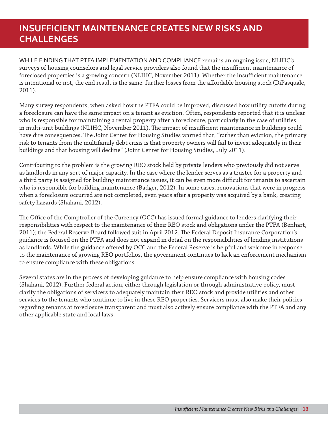# **INSUFFICIENT MAINTENANCE CREATES NEW RISKS AND CHALLENGES**

WHILE FINDING THAT PTFA IMPLEMENTATION AND COMPLIANCE remains an ongoing issue, NLIHC's surveys of housing counselors and legal service providers also found that the insufficient maintenance of foreclosed properties is a growing concern (NLIHC, November 2011). Whether the insufficient maintenance is intentional or not, the end result is the same: further losses from the affordable housing stock (DiPasquale, 2011).

Many survey respondents, when asked how the PTFA could be improved, discussed how utility cutoffs during a foreclosure can have the same impact on a tenant as eviction. Often, respondents reported that it is unclear who is responsible for maintaining a rental property after a foreclosure, particularly in the case of utilities in multi-unit buildings (NLIHC, November 2011). The impact of insufficient maintenance in buildings could have dire consequences. The Joint Center for Housing Studies warned that, "rather than eviction, the primary risk to tenants from the multifamily debt crisis is that property owners will fail to invest adequately in their buildings and that housing will decline" (Joint Center for Housing Studies, July 2011).

Contributing to the problem is the growing REO stock held by private lenders who previously did not serve as landlords in any sort of major capacity. In the case where the lender serves as a trustee for a property and a third party is assigned for building maintenance issues, it can be even more difficult for tenants to ascertain who is responsible for building maintenance (Badger, 2012). In some cases, renovations that were in progress when a foreclosure occurred are not completed, even years after a property was acquired by a bank, creating safety hazards (Shahani, 2012).

The Office of the Comptroller of the Currency (OCC) has issued formal guidance to lenders clarifying their responsibilities with respect to the maintenance of their REO stock and obligations under the PTFA (Benhart, 2011); the Federal Reserve Board followed suit in April 2012. The Federal Deposit Insurance Corporation's guidance is focused on the PTFA and does not expand in detail on the responsibilities of lending institutions as landlords. While the guidance offered by OCC and the Federal Reserve is helpful and welcome in response to the maintenance of growing REO portfolios, the government continues to lack an enforcement mechanism to ensure compliance with these obligations.

Several states are in the process of developing guidance to help ensure compliance with housing codes (Shahani, 2012). Further federal action, either through legislation or through administrative policy, must clarify the obligations of servicers to adequately maintain their REO stock and provide utilities and other services to the tenants who continue to live in these REO properties. Servicers must also make their policies regarding tenants at foreclosure transparent and must also actively ensure compliance with the PTFA and any other applicable state and local laws.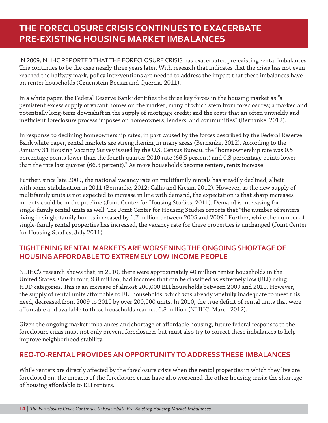# **THE FORECLOSURE CRISIS CONTINUES TO EXACERBATE PRE-EXISTING HOUSING MARKET IMBALANCES**

IN 2009, NLIHC REPORTED THAT THE FORECLOSURE CRISIS has exacerbated pre-existing rental imbalances. This continues to be the case nearly three years later. With research that indicates that the crisis has not even reached the halfway mark, policy interventions are needed to address the impact that these imbalances have on renter households (Gruenstein Bocian and Quercia, 2011).

In a white paper, the Federal Reserve Bank identifies the three key forces in the housing market as "a persistent excess supply of vacant homes on the market, many of which stem from foreclosures; a marked and potentially long-term downshift in the supply of mortgage credit; and the costs that an often unwieldy and inefficient foreclosure process imposes on homeowners, lenders, and communities" (Bernanke, 2012).

In response to declining homeownership rates, in part caused by the forces described by the Federal Reserve Bank white paper, rental markets are strengthening in many areas (Bernanke, 2012). According to the January 31 Housing Vacancy Survey issued by the U.S. Census Bureau, the "homeownership rate was 0.5 percentage points lower than the fourth quarter 2010 rate (66.5 percent) and 0.3 percentage points lower than the rate last quarter (66.3 percent)." As more households become renters, rents increase.

Further, since late 2009, the national vacancy rate on multifamily rentals has steadily declined, albeit with some stabilization in 2011 (Bernanke, 2012; Callis and Kresin, 2012). However, as the new supply of multifamily units is not expected to increase in line with demand, the expectation is that sharp increases in rents could be in the pipeline (Joint Center for Housing Studies, 2011). Demand is increasing for single-family rental units as well. The Joint Center for Housing Studies reports that "the number of renters living in single-family homes increased by 1.7 million between 2005 and 2009." Further, while the number of single-family rental properties has increased, the vacancy rate for these properties is unchanged (Joint Center for Housing Studies, July 2011).

## **TIGHTENING RENTAL MARKETS ARE WORSENING THE ONGOING SHORTAGE OF HOUSING AFFORDABLE TO EXTREMELY LOW INCOME PEOPLE**

NLIHC's research shows that, in 2010, there were approximately 40 million renter households in the United States. One in four, 9.8 million, had incomes that can be classified as extremely low (ELI) using HUD categories. This is an increase of almost 200,000 ELI households between 2009 and 2010. However, the supply of rental units affordable to ELI households, which was already woefully inadequate to meet this need, decreased from 2009 to 2010 by over 200,000 units. In 2010, the true deficit of rental units that were aff ordable and available to these households reached 6.8 million (NLIHC, March 2012).

Given the ongoing market imbalances and shortage of affordable housing, future federal responses to the foreclosure crisis must not only prevent foreclosures but must also try to correct these imbalances to help improve neighborhood stability.

## **REO-TO-RENTAL PROVIDES AN OPPORTUNITY TO ADDRESS THESE IMBALANCES**

While renters are directly affected by the foreclosure crisis when the rental properties in which they live are foreclosed on, the impacts of the foreclosure crisis have also worsened the other housing crisis: the shortage of housing affordable to ELI renters.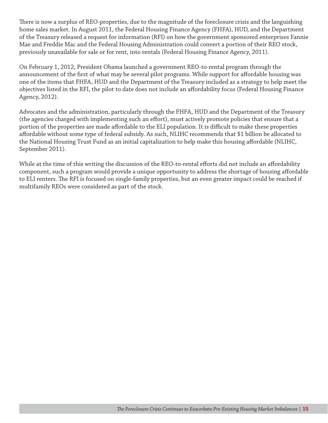There is now a surplus of REO-properties, due to the magnitude of the foreclosure crisis and the languishing home sales market. In August 2011, the Federal Housing Finance Agency (FHFA), HUD, and the Department of the Treasury released a request for information (RFI) on how the government sponsored enterprises Fannie Mae and Freddie Mac and the Federal Housing Administration could convert a portion of their REO stock, previously unavailable for sale or for rent, into rentals (Federal Housing Finance Agency, 2011).

On February 1, 2012, President Obama launched a government REO-to-rental program through the announcement of the first of what may be several pilot programs. While support for affordable housing was one of the items that FHFA, HUD and the Department of the Treasury included as a strategy to help meet the objectives listed in the RFI, the pilot to date does not include an affordability focus (Federal Housing Finance Agency, 2012).

Advocates and the administration, particularly through the FHFA, HUD and the Department of the Treasury (the agencies charged with implementing such an effort), must actively promote policies that ensure that a portion of the properties are made affordable to the ELI population. It is difficult to make these properties affordable without some type of federal subsidy. As such, NLIHC recommends that \$1 billion be allocated to the National Housing Trust Fund as an initial capitalization to help make this housing affordable (NLIHC, September 2011).

While at the time of this writing the discussion of the REO-to-rental efforts did not include an affordability component, such a program would provide a unique opportunity to address the shortage of housing affordable to ELI renters. The RFI is focused on single-family properties, but an even greater impact could be reached if multifamily REOs were considered as part of the stock.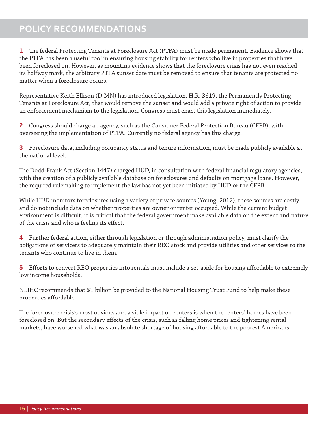**1** | The federal Protecting Tenants at Foreclosure Act (PTFA) must be made permanent. Evidence shows that the PTFA has been a useful tool in ensuring housing stability for renters who live in properties that have been foreclosed on. However, as mounting evidence shows that the foreclosure crisis has not even reached its halfway mark, the arbitrary PTFA sunset date must be removed to ensure that tenants are protected no matter when a foreclosure occurs.

Representative Keith Ellison (D-MN) has introduced legislation, H.R. 3619, the Permanently Protecting Tenants at Foreclosure Act, that would remove the sunset and would add a private right of action to provide an enforcement mechanism to the legislation. Congress must enact this legislation immediately.

**2** | Congress should charge an agency, such as the Consumer Federal Protection Bureau (CFPB), with overseeing the implementation of PTFA. Currently no federal agency has this charge.

**3** | Foreclosure data, including occupancy status and tenure information, must be made publicly available at the national level.

The Dodd-Frank Act (Section 1447) charged HUD, in consultation with federal financial regulatory agencies, with the creation of a publicly available database on foreclosures and defaults on mortgage loans. However, the required rulemaking to implement the law has not yet been initiated by HUD or the CFPB.

While HUD monitors foreclosures using a variety of private sources (Young, 2012), these sources are costly and do not include data on whether properties are owner or renter occupied. While the current budget environment is difficult, it is critical that the federal government make available data on the extent and nature of the crisis and who is feeling its effect.

**4** | Further federal action, either through legislation or through administration policy, must clarify the obligations of servicers to adequately maintain their REO stock and provide utilities and other services to the tenants who continue to live in them.

**5** | Efforts to convert REO properties into rentals must include a set-aside for housing affordable to extremely low income households.

NLIHC recommends that \$1 billion be provided to the National Housing Trust Fund to help make these properties affordable.

The foreclosure crisis's most obvious and visible impact on renters is when the renters' homes have been foreclosed on. But the secondary effects of the crisis, such as falling home prices and tightening rental markets, have worsened what was an absolute shortage of housing affordable to the poorest Americans.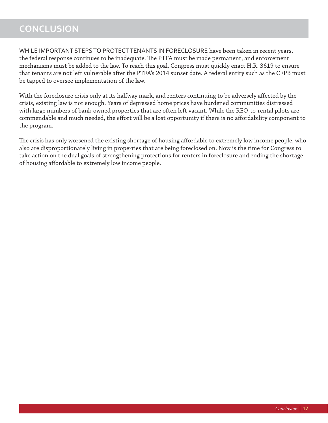# **CONCLUSION**

WHILE IMPORTANT STEPS TO PROTECT TENANTS IN FORECLOSURE have been taken in recent years, the federal response continues to be inadequate. The PTFA must be made permanent, and enforcement mechanisms must be added to the law. To reach this goal, Congress must quickly enact H.R. 3619 to ensure that tenants are not left vulnerable after the PTFA's 2014 sunset date. A federal entity such as the CFPB must be tapped to oversee implementation of the law.

With the foreclosure crisis only at its halfway mark, and renters continuing to be adversely affected by the crisis, existing law is not enough. Years of depressed home prices have burdened communities distressed with large numbers of bank-owned properties that are often left vacant. While the REO-to-rental pilots are commendable and much needed, the effort will be a lost opportunity if there is no affordability component to the program.

The crisis has only worsened the existing shortage of housing affordable to extremely low income people, who also are disproportionately living in properties that are being foreclosed on. Now is the time for Congress to take action on the dual goals of strengthening protections for renters in foreclosure and ending the shortage of housing affordable to extremely low income people.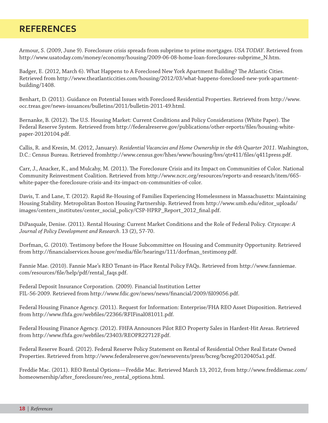# **REFERENCES**

Armour, S. (2009, June 9). Foreclosure crisis spreads from subprime to prime mortgages. *USA TODAY*. Retrieved from http://www.usatoday.com/money/economy/housing/2009-06-08-home-loan-foreclosures-subprime\_N.htm.

Badger, E. (2012, March 6). What Happens to A Foreclosed New York Apartment Building? The Atlantic Cities. Retrieved from http://www.theatlanticcities.com/housing/2012/03/what-happens-foreclosed-new-york-apartmentbuilding/1408.

Benhart, D. (2011). Guidance on Potential Issues with Foreclosed Residential Properties. Retrieved from http://www. occ.treas.gov/news-issuances/bulletins/2011/bulletin-2011-49.html.

Bernanke, B. (2012). The U.S. Housing Market: Current Conditions and Policy Considerations (White Paper). The Federal Reserve System. Retrieved from http://federalreserve.gov/publications/other-reports/fi les/housing-whitepaper-20120104.pdf.

Callis, R. and Kresin, M. (2012, January). *Residential Vacancies and Home Ownership in the 4th Quarter 2011*. Washington, D.C.: Census Bureau. Retrieved fromhttp://www.census.gov/hhes/www/housing/hvs/qtr411/files/q411press.pdf.

Carr, J., Anacker, K., and Mulcahy, M. (2011). The Foreclosure Crisis and its Impact on Communities of Color. National Community Reinvestment Coalition. Retrieved from http://www.ncrc.org/resources/reports-and-research/item/665 white-paper-the-foreclosure-crisis-and-its-impact-on-communities-of-color.

Davis, T. and Lane, T. (2012). Rapid Re-Housing of Families Experiencing Homelessness in Massachusetts: Maintaining Housing Stability. Metropolitan Boston Housing Partnership. Retrieved from http://www.umb.edu/editor\_uploads/ images/centers\_institutes/center\_social\_policy/CSP-HPRP\_Report\_2012\_fi nal.pdf.

DiPasquale, Denise. (2011). Rental Housing: Current Market Conditions and the Role of Federal Policy. *Cityscape: A Journal of Policy Development and Research*. 13 (2), 57-70.

Dorfman, G. (2010). Testimony before the House Subcommittee on Housing and Community Opportunity. Retrieved from http://financialservices.house.gov/media/file/hearings/111/dorfman\_testimony.pdf.

Fannie Mae. (2010). Fannie Mae's REO Tenant-in-Place Rental Policy FAQs. Retrieved from http://www.fanniemae. com/resources/file/help/pdf/rental\_faqs.pdf.

Federal Deposit Insurance Corporation. (2009). Financial Institution Letter FIL-56-2009. Retrieved from http://www.fdic.gov/news/news/financial/2009/fil09056.pdf.

Federal Housing Finance Agency. (2011). Request for Information: Enterprise/FHA REO Asset Disposition. Retrieved from http://www.fhfa.gov/webfiles/22366/RFIFinal081011.pdf.

Federal Housing Finance Agency. (2012). FHFA Announces Pilot REO Property Sales in Hardest-Hit Areas. Retrieved from http://www.fhfa.gov/webfiles/23403/REOPR22712F.pdf.

Federal Reserve Board. (2012). Federal Reserve Policy Statement on Rental of Residential Other Real Estate Owned Properties. Retrieved from http://www.federalreserve.gov/newsevents/press/bcreg/bcreg20120405a1.pdf.

Freddie Mac. (2011). REO Rental Options—Freddie Mac. Retrieved March 13, 2012, from http://www.freddiemac.com/ homeownership/after\_foreclosure/reo\_rental\_options.html.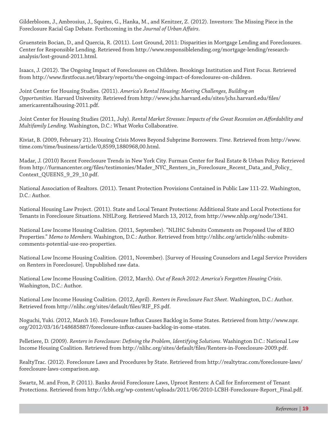Gilderbloom, J., Ambrosius, J., Squires, G., Hanka, M., and Kenitzer, Z. (2012). Investors: The Missing Piece in the Foreclosure Racial Gap Debate. Forthcoming in the *Journal of Urban Affairs*.

Gruenstein Bocian, D., and Quercia, R. (2011). Lost Ground, 2011: Disparities in Mortgage Lending and Foreclosures. Center for Responsible Lending. Retrieved from http://www.responsiblelending.org/mortgage-lending/researchanalysis/lost-ground-2011.html.

Isaacs, J. (2012). The Ongoing Impact of Foreclosures on Children. Brookings Institution and First Focus. Retrieved from http://www.firstfocus.net/library/reports/the-ongoing-impact-of-foreclosures-on-children.

Joint Center for Housing Studies. (2011). *America's Rental Housing: Meeting Challenges, Building on*  Opportunities. Harvard University. Retrieved from http://www.jchs.harvard.edu/sites/jchs.harvard.edu/files/ americasrentalhousing-2011.pdf.

Joint Center for Housing Studies (2011, July). *Rental Market Stresses: Impacts of the Great Recession on Affordability and Multifamily Lending*. Washington, D.C.: What Works Collaborative.

Kiviat, B. (2009, February 21). Housing Crisis Moves Beyond Subprime Borrowers. *Time*. Retrieved from http://www. time.com/time/business/article/0,8599,1880968,00.html.

Madar, J. (2010) Recent Foreclosure Trends in New York City. Furman Center for Real Estate & Urban Policy. Retrieved from http://furmancenter.org/files/testimonies/Mader\_NYC\_Renters\_in\_Foreclosure\_Recent\_Data\_and\_Policy\_ Context\_QUEENS\_9\_29\_10.pdf.

National Association of Realtors. (2011). Tenant Protection Provisions Contained in Public Law 111-22. Washington, D.C.: Author.

National Housing Law Project. (2011). State and Local Tenant Protections: Additional State and Local Protections for Tenants in Foreclosure Situations. NHLP.org. Retrieved March 13, 2012, from http://www.nhlp.org/node/1341.

National Low Income Housing Coalition. (2011, September). "NLIHC Submits Comments on Proposed Use of REO Properties." *Memo to Members*. Washington, D.C.: Author. Retrieved from http://nlihc.org/article/nlihc-submitscomments-potential-use-reo-properties.

National Low Income Housing Coalition. (2011, November). [Survey of Housing Counselors and Legal Service Providers on Renters in Foreclosure]. Unpublished raw data.

National Low Income Housing Coalition. (2012, March). *Out of Reach 2012: America's Forgotten Housing Crisis*. Washington, D.C.: Author.

National Low Income Housing Coalition. (2012, April). *Renters in Foreclosure Fact Sheet*. Washington, D.C.: Author. Retrieved from http://nlihc.org/sites/default/files/RIF\_FS.pdf.

Noguchi, Yuki. (2012, March 16). Foreclosure Influx Causes Backlog in Some States. Retrieved from http://www.npr. org/2012/03/16/148685887/foreclosure-influx-causes-backlog-in-some-states.

Pelletiere, D. (2009). *Renters in Foreclosure: Defining the Problem, Identifying Solutions*. Washington D.C.: National Low Income Housing Coalition. Retrieved from http://nlihc.org/sites/default/files/Renters-in-Foreclosure-2009.pdf.

RealtyTrac. (2012). Foreclosure Laws and Procedures by State. Retrieved from http://realtytrac.com/foreclosure-laws/ foreclosure-laws-comparison.asp.

Swartz, M. and Fron, P. (2011). Banks Avoid Foreclosure Laws, Uproot Renters: A Call for Enforcement of Tenant Protections. Retrieved from http://lcbh.org/wp-content/uploads/2011/06/2010-LCBH-Foreclosure-Report\_Final.pdf.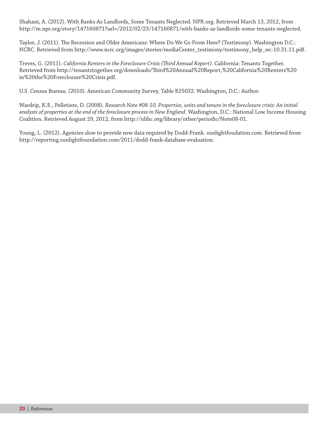Shahani, A. (2012). With Banks As Landlords, Some Tenants Neglected. NPR.org. Retrieved March 13, 2012, from http://m.npr.org/story/147160871?url=/2012/02/23/147160871/with-banks-as-landlords-some-tenants-neglected.

Taylor, J. (2011). The Recession and Older Americans: Where Do We Go From Here? (Testimony). Washington D.C.: NCRC. Retrieved from http://www.ncrc.org/images/stories/mediaCenter\_testimony/testimony\_help\_wc-10.31.11.pdf.

Treves, G. (2011). *California Renters in the Foreclosure Crisis (Th ird Annual Report)*. California: Tenants Together. Retrieved from http://tenantstogether.org/downloads/Th ird%20Annual%20Report,%20California%20Renters%20 in%20the%20Foreclosure%20Crisis.pdf.

U.S. Census Bureau. (2010). American Community Survey, Table B25032. Washington, D.C.: Author.

Wardrip, K.E., Pelletiere, D. (2008). *Research Note #08-10, Properties, units and tenure in the foreclosure crisis: An initial analysis of properties at the end of the foreclosure process in New England*. Washington, D.C.: National Low Income Housing Coalition. Retrieved August 29, 2012, from http://nlihc.org/library/other/periodic/Note08-01.

Young, L. (2012). Agencies slow to provide new data required by Dodd-Frank. sunlightfoudation.com. Retrieved from http://reporting.sunlightfoundation.com/2011/dodd-frank-database-evaluation.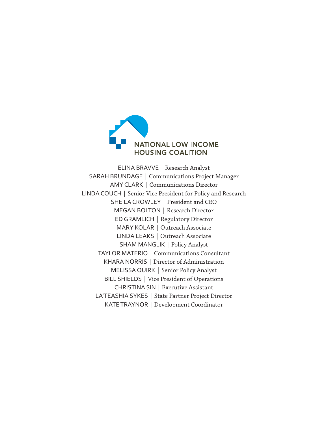

ELINA BRAVVE | Research Analyst SARAH BRUNDAGE | Communications Project Manager AMY CLARK | Communications Director LINDA COUCH | Senior Vice President for Policy and Research SHEILA CROWLEY | President and CEO MEGAN BOLTON | Research Director ED GRAMLICH | Regulatory Director MARY KOLAR | Outreach Associate LINDA LEAKS | Outreach Associate SHAM MANGLIK | Policy Analyst TAYLOR MATERIO | Communications Consultant KHARA NORRIS | Director of Administration MELISSA QUIRK | Senior Policy Analyst BILL SHIELDS | Vice President of Operations CHRISTINA SIN | Executive Assistant LA'TEASHIA SYKES | State Partner Project Director KATE TRAYNOR | Development Coordinator